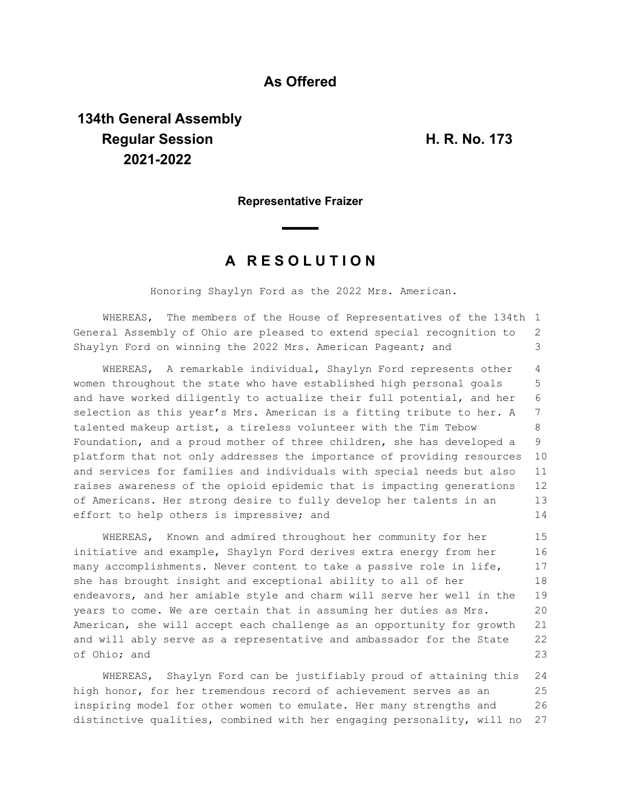## **As Offered**

## **134th General Assembly Regular Session H. R. No. 173 2021-2022**

## **Representative Fraizer**

## **A R E S O L U T I O N**

Honoring Shaylyn Ford as the 2022 Mrs. American.

WHEREAS, The members of the House of Representatives of the 134th 1 General Assembly of Ohio are pleased to extend special recognition to Shaylyn Ford on winning the 2022 Mrs. American Pageant; and 2 3

WHEREAS, A remarkable individual, Shaylyn Ford represents other women throughout the state who have established high personal goals and have worked diligently to actualize their full potential, and her selection as this year's Mrs. American is a fitting tribute to her. A talented makeup artist, a tireless volunteer with the Tim Tebow Foundation, and a proud mother of three children, she has developed a platform that not only addresses the importance of providing resources and services for families and individuals with special needs but also raises awareness of the opioid epidemic that is impacting generations of Americans. Her strong desire to fully develop her talents in an effort to help others is impressive; and 4 5 6 7 8 9 10 11 12 13 14

WHEREAS, Known and admired throughout her community for her initiative and example, Shaylyn Ford derives extra energy from her many accomplishments. Never content to take a passive role in life, she has brought insight and exceptional ability to all of her endeavors, and her amiable style and charm will serve her well in the years to come. We are certain that in assuming her duties as Mrs. American, she will accept each challenge as an opportunity for growth and will ably serve as a representative and ambassador for the State of Ohio; and 15 16 17 18 19 20 21 22 23

WHEREAS, Shaylyn Ford can be justifiably proud of attaining this high honor, for her tremendous record of achievement serves as an inspiring model for other women to emulate. Her many strengths and distinctive qualities, combined with her engaging personality, will no 24 25 26 27